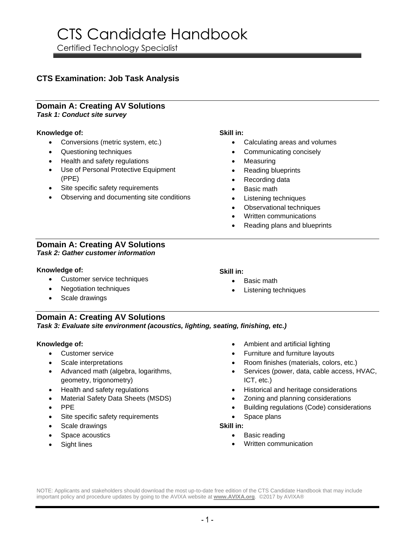Certified Technology Specialist

### **CTS Examination: Job Task Analysis**

#### **Domain A: Creating AV Solutions** *Task 1: Conduct site survey*

#### **Knowledge of:**

- Conversions (metric system, etc.)
- Questioning techniques
- Health and safety regulations
- Use of Personal Protective Equipment (PPE)
- Site specific safety requirements
- Observing and documenting site conditions

#### **Domain A: Creating AV Solutions** *Task 2: Gather customer information*

#### **Knowledge of:**

- Customer service techniques
- Negotiation techniques
- Scale drawings

### **Skill in:**

**Skill in:**

- Calculating areas and volumes
- Communicating concisely
- Measuring
- Reading blueprints
- Recording data
- Basic math

• Basic math

- Listening techniques
- Observational techniques
- Written communications
- Reading plans and blueprints

**Domain A: Creating AV Solutions** *Task 3: Evaluate site environment (acoustics, lighting, seating, finishing, etc.)*

#### **Knowledge of:**

- Customer service
- Scale interpretations
- Advanced math (algebra, logarithms, geometry, trigonometry)
- Health and safety regulations
- Material Safety Data Sheets (MSDS)
- PPE
- Site specific safety requirements
- Scale drawings
- Space acoustics
- Sight lines

• Ambient and artificial lighting

Listening techniques

- Furniture and furniture layouts
- Room finishes (materials, colors, etc.)
- Services (power, data, cable access, HVAC, ICT, etc.)
- Historical and heritage considerations
- Zoning and planning considerations
- Building regulations (Code) considerations
- Space plans

#### **Skill in:**

- Basic reading
- Written communication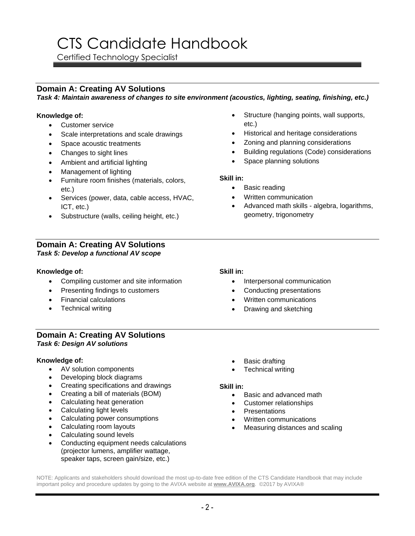Certified Technology Specialist

#### **Domain A: Creating AV Solutions**

*Task 4: Maintain awareness of changes to site environment (acoustics, lighting, seating, finishing, etc.)*

#### **Knowledge of:**

- Customer service
- Scale interpretations and scale drawings
- Space acoustic treatments
- Changes to sight lines
- Ambient and artificial lighting
- Management of lighting
- Furniture room finishes (materials, colors, etc.)
- Services (power, data, cable access, HVAC, ICT, etc.)
- Substructure (walls, ceiling height, etc.)

#### **Domain A: Creating AV Solutions** *Task 5: Develop a functional AV scope*

#### **Knowledge of:**

- Compiling customer and site information
- Presenting findings to customers
- Financial calculations
- Technical writing

#### • Structure (hanging points, wall supports, etc.) • Historical and heritage considerations

- Zoning and planning considerations
- Building regulations (Code) considerations
- Space planning solutions

#### **Skill in:**

- Basic reading
- Written communication
- Advanced math skills algebra, logarithms, geometry, trigonometry

#### **Skill in:**

- Interpersonal communication
- Conducting presentations
- Written communications
- Drawing and sketching

#### **Domain A: Creating AV Solutions** *Task 6: Design AV solutions*

#### **Knowledge of:**

- AV solution components
- Developing block diagrams
- Creating specifications and drawings
- Creating a bill of materials (BOM)
- Calculating heat generation
- Calculating light levels
- Calculating power consumptions
- Calculating room layouts
- Calculating sound levels
- Conducting equipment needs calculations (projector lumens, amplifier wattage, speaker taps, screen gain/size, etc.)
- **Basic drafting**
- **Technical writing**

#### **Skill in:**

- Basic and advanced math
- Customer relationships
- Presentations
- Written communications
- Measuring distances and scaling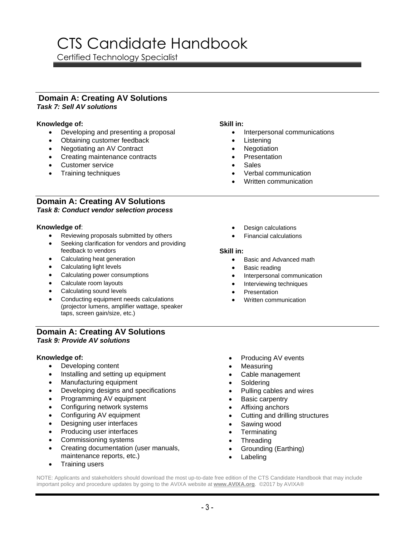Certified Technology Specialist

#### **Domain A: Creating AV Solutions** *Task 7: Sell AV solutions*

#### **Knowledge of:**

- Developing and presenting a proposal
- Obtaining customer feedback
- Negotiating an AV Contract
- Creating maintenance contracts
- Customer service
- Training techniques

#### **Skill in:**

- Interpersonal communications
	- **Listening**
	- **Negotiation**
	- **Presentation**
	- Sales
	- Verbal communication
	- Written communication

#### **Domain A: Creating AV Solutions** *Task 8: Conduct vendor selection process*

#### **Knowledge of**:

- Reviewing proposals submitted by others
- Seeking clarification for vendors and providing feedback to vendors
- Calculating heat generation
- Calculating light levels
- Calculating power consumptions
- Calculate room layouts
- Calculating sound levels
- Conducting equipment needs calculations (projector lumens, amplifier wattage, speaker taps, screen gain/size, etc.)

#### **Domain A: Creating AV Solutions** *Task 9: Provide AV solutions*

#### **Knowledge of:**

- Developing content
- Installing and setting up equipment
- Manufacturing equipment
- Developing designs and specifications
- Programming AV equipment
- Configuring network systems
- Configuring AV equipment
- Designing user interfaces
- Producing user interfaces
- Commissioning systems
- Creating documentation (user manuals, maintenance reports, etc.)
- Training users
- Design calculations
- Financial calculations

#### **Skill in:**

- Basic and Advanced math
- Basic reading
- Interpersonal communication
- Interviewing techniques
- Presentation
- Written communication
- Producing AV events
- **Measuring**
- Cable management
- Soldering
- Pulling cables and wires
- Basic carpentry
- Affixing anchors
- Cutting and drilling structures
- Sawing wood
- **Terminating**
- Threading
- Grounding (Earthing)
- **Labeling**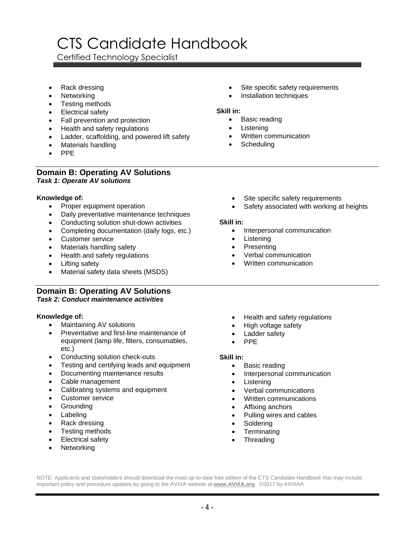Certified Technology Specialist

- Rack dressing
- **Networking**
- Testing methods
- Electrical safety
- Fall prevention and protection
- Health and safety regulations
- Ladder, scaffolding, and powered lift safety
- Materials handling
- PPE

#### **Domain B: Operating AV Solutions** *Task 1: Operate AV solutions*

#### **Knowledge of:**

- Proper equipment operation
- Daily preventative maintenance techniques
- Conducting solution shut-down activities
- Completing documentation (daily logs, etc.)
- Customer service
- Materials handling safety
- Health and safety regulations
- Lifting safety
- Material safety data sheets (MSDS)

### **Domain B: Operating AV Solutions**

#### *Task 2: Conduct maintenance activities*

#### **Knowledge of:**

- Maintaining AV solutions
- Preventative and first-line maintenance of equipment (lamp life, filters, consumables, etc.)
- Conducting solution check-outs
- Testing and certifying leads and equipment
- Documenting maintenance results
- Cable management
- Calibrating systems and equipment
- Customer service
- **Grounding**
- **Labeling**
- Rack dressing
- Testing methods
- Electrical safety
- **Networking**
- Site specific safety requirements
- Installation techniques

#### **Skill in:**

- Basic reading
- Listening
- Written communication
- **Scheduling**
- Site specific safety requirements
- Safety associated with working at heights

#### **Skill in:**

- Interpersonal communication
- Listening
- Presenting
- Verbal communication
- Written communication
- Health and safety regulations
- High voltage safety
- Ladder safety
- PPE

#### **Skill in:**

- Basic reading
- Interpersonal communication
- Listening
- Verbal communications
- Written communications
- Affixing anchors
- Pulling wires and cables
- **Soldering**
- **Terminating**
- **Threading**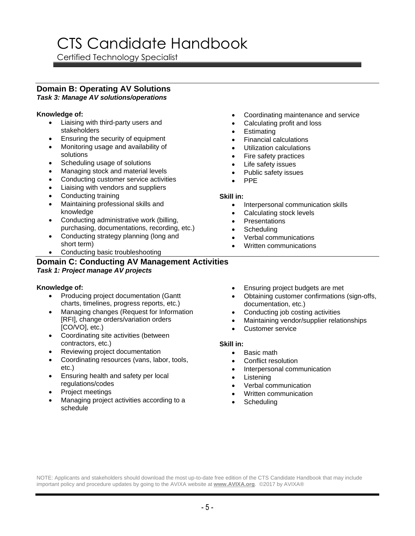Certified Technology Specialist

### **Domain B: Operating AV Solutions**

*Task 3: Manage AV solutions/operations*

#### **Knowledge of:**

- Liaising with third-party users and stakeholders
- Ensuring the security of equipment
- Monitoring usage and availability of solutions
- Scheduling usage of solutions
- Managing stock and material levels
- Conducting customer service activities
- Liaising with vendors and suppliers
- Conducting training
- Maintaining professional skills and knowledge
- Conducting administrative work (billing, purchasing, documentations, recording, etc.)
- Conducting strategy planning (long and short term)
- Conducting basic troubleshooting

### **Domain C: Conducting AV Management Activities** *Task 1: Project manage AV projects*

#### **Knowledge of:**

- Producing project documentation (Gantt charts, timelines, progress reports, etc.)
- Managing changes (Request for Information [RFI], change orders/variation orders [CO/VO], etc.)
- Coordinating site activities (between contractors, etc.)
- Reviewing project documentation
- Coordinating resources (vans, labor, tools, etc.)
- Ensuring health and safety per local regulations/codes
- Project meetings
- Managing project activities according to a schedule
- Coordinating maintenance and service
- Calculating profit and loss
- **Estimating**
- Financial calculations
- Utilization calculations
- Fire safety practices
- Life safety issues
- Public safety issues
- PPE

#### **Skill in:**

- Interpersonal communication skills
- Calculating stock levels
- **Presentations**
- Scheduling
- Verbal communications
- Written communications
- Ensuring project budgets are met
- Obtaining customer confirmations (sign-offs, documentation, etc.)
- Conducting job costing activities
- Maintaining vendor/supplier relationships
- Customer service

#### **Skill in:**

- Basic math
- Conflict resolution
- Interpersonal communication
- Listening
- Verbal communication
- Written communication
- **Scheduling**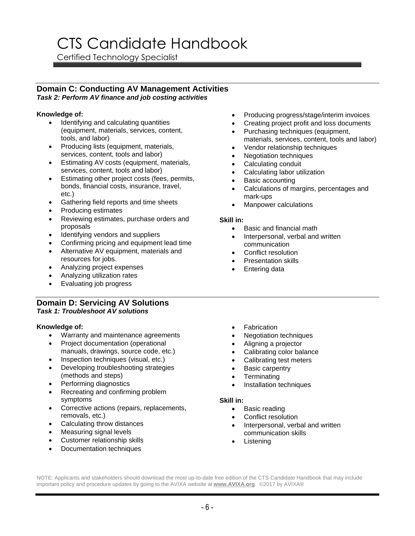Certified Technology Specialist

#### **Domain C: Conducting AV Management Activities** *Task 2: Perform AV finance and job costing activities*

#### **Knowledge of:**

- Identifying and calculating quantities (equipment, materials, services, content, tools, and labor)
- Producing lists (equipment, materials, services, content, tools and labor)
- Estimating AV costs (equipment, materials, services, content, tools and labor)
- Estimating other project costs (fees, permits, bonds, financial costs, insurance, travel, etc.)
- Gathering field reports and time sheets
- Producing estimates
- Reviewing estimates, purchase orders and proposals
- Identifying vendors and suppliers
- Confirming pricing and equipment lead time
- Alternative AV equipment, materials and resources for jobs.
- Analyzing project expenses
- Analyzing utilization rates
- Evaluating job progress

#### **Domain D: Servicing AV Solutions** *Task 1: Troubleshoot AV solutions*

#### **Knowledge of:**

- Warranty and maintenance agreements
- Project documentation (operational manuals, drawings, source code, etc.)
- Inspection techniques (visual, etc.)
- Developing troubleshooting strategies (methods and steps)
- Performing diagnostics
- Recreating and confirming problem symptoms
- Corrective actions (repairs, replacements, removals, etc.)
- Calculating throw distances
- Measuring signal levels
- Customer relationship skills
- Documentation techniques
- Producing progress/stage/interim invoices
- Creating project profit and loss documents
- Purchasing techniques (equipment, materials, services, content, tools and labor)
- Vendor relationship techniques
- Negotiation techniques
- Calculating conduit
- Calculating labor utilization
- Basic accounting
- Calculations of margins, percentages and mark-ups
- Manpower calculations

#### **Skill in:**

- Basic and financial math
- Interpersonal, verbal and written communication
- Conflict resolution
- Presentation skills
- Entering data
- Fabrication
- Negotiation techniques
- Aligning a projector
- Calibrating color balance
- Calibrating test meters
- Basic carpentry
- Terminating
- Installation techniques

#### **Skill in:**

- Basic reading
- Conflict resolution
- Interpersonal, verbal and written communication skills
- **Listening**